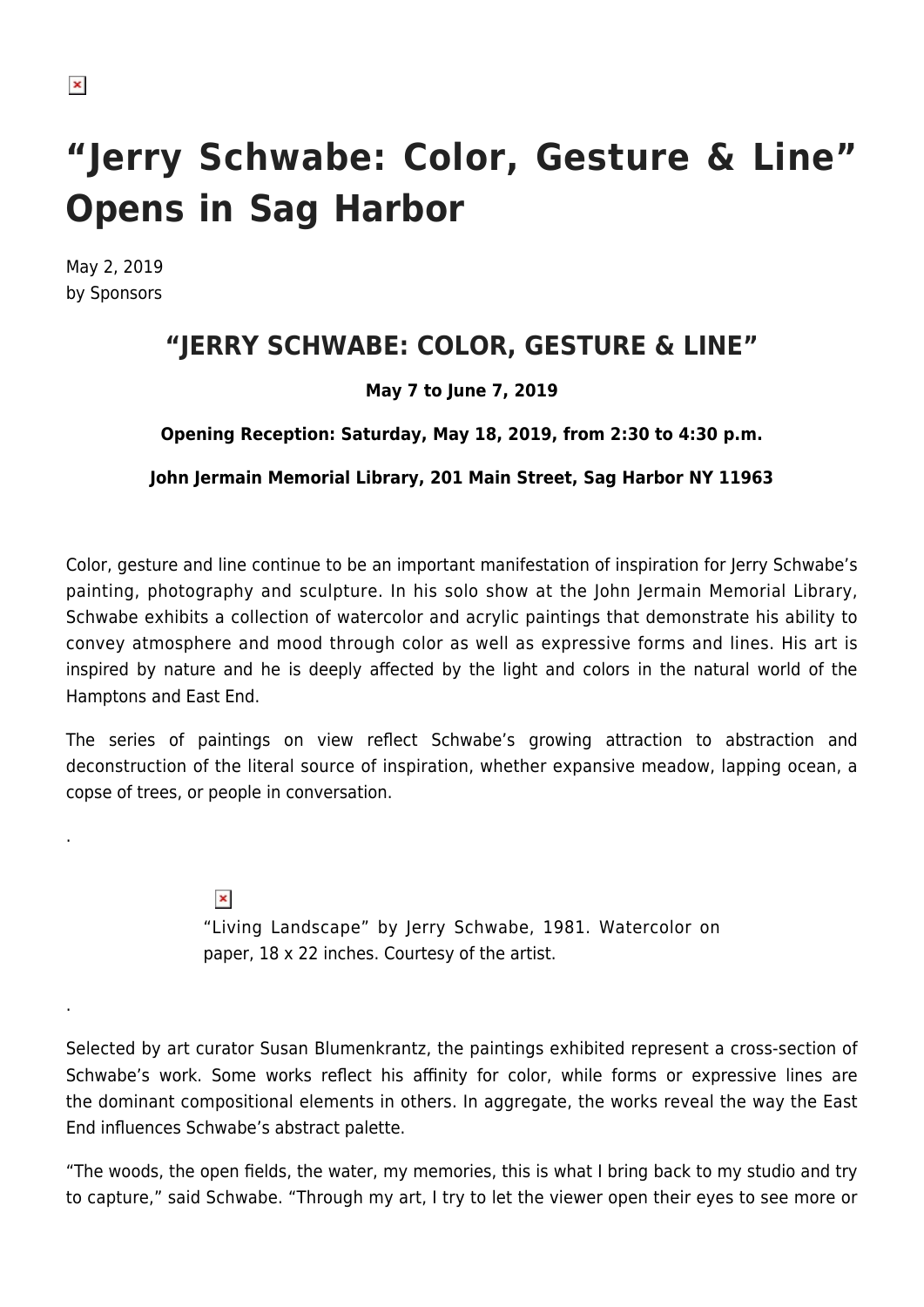.

.

# **"Jerry Schwabe: Color, Gesture & Line" Opens in Sag Harbor**

May 2, 2019 by Sponsors

## **"JERRY SCHWABE: COLOR, GESTURE & LINE"**

### **May 7 to June 7, 2019**

#### **Opening Reception: Saturday, May 18, 2019, from 2:30 to 4:30 p.m.**

#### **John Jermain Memorial Library, 201 Main Street, Sag Harbor NY 11963**

Color, gesture and line continue to be an important manifestation of inspiration for Jerry Schwabe's painting, photography and sculpture. In his solo show at the John Jermain Memorial Library, Schwabe exhibits a collection of watercolor and acrylic paintings that demonstrate his ability to convey atmosphere and mood through color as well as expressive forms and lines. His art is inspired by nature and he is deeply affected by the light and colors in the natural world of the Hamptons and East End.

The series of paintings on view reflect Schwabe's growing attraction to abstraction and deconstruction of the literal source of inspiration, whether expansive meadow, lapping ocean, a copse of trees, or people in conversation.

> $\pmb{\times}$ "Living Landscape" by Jerry Schwabe, 1981. Watercolor on paper, 18 x 22 inches. Courtesy of the artist.

Selected by art curator Susan Blumenkrantz, the paintings exhibited represent a cross-section of Schwabe's work. Some works reflect his affinity for color, while forms or expressive lines are the dominant compositional elements in others. In aggregate, the works reveal the way the East End influences Schwabe's abstract palette.

"The woods, the open fields, the water, my memories, this is what I bring back to my studio and try to capture," said Schwabe. "Through my art, I try to let the viewer open their eyes to see more or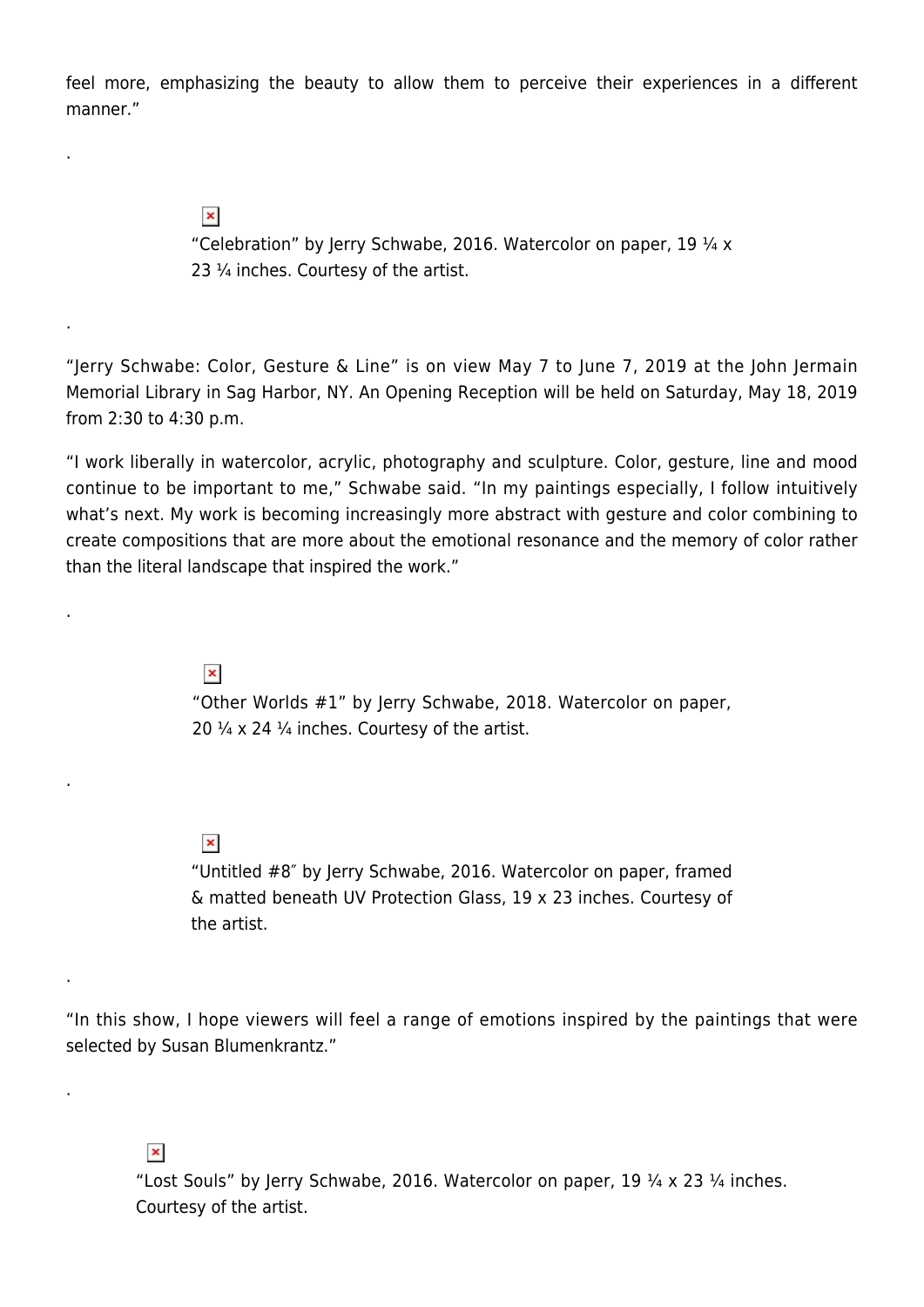feel more, emphasizing the beauty to allow them to perceive their experiences in a different manner."

 $\pmb{\times}$ 

.

.

.

.

.

.

"Celebration" by Jerry Schwabe, 2016. Watercolor on paper, 19  $\frac{1}{4}$  x 23 ¼ inches. Courtesy of the artist.

"Jerry Schwabe: Color, Gesture & Line" is on view May 7 to June 7, 2019 at the John Jermain Memorial Library in Sag Harbor, NY. An Opening Reception will be held on Saturday, May 18, 2019 from 2:30 to 4:30 p.m.

"I work liberally in watercolor, acrylic, photography and sculpture. Color, gesture, line and mood continue to be important to me," Schwabe said. "In my paintings especially, I follow intuitively what's next. My work is becoming increasingly more abstract with gesture and color combining to create compositions that are more about the emotional resonance and the memory of color rather than the literal landscape that inspired the work."

 $\pmb{\times}$ 

"Other Worlds #1" by Jerry Schwabe, 2018. Watercolor on paper, 20  $\frac{1}{4}$  x 24  $\frac{1}{4}$  inches. Courtesy of the artist.

#### $\pmb{\times}$

"Untitled #8″ by Jerry Schwabe, 2016. Watercolor on paper, framed & matted beneath UV Protection Glass, 19 x 23 inches. Courtesy of the artist.

"In this show, I hope viewers will feel a range of emotions inspired by the paintings that were selected by Susan Blumenkrantz."

 $\pmb{\times}$ 

"Lost Souls" by Jerry Schwabe, 2016. Watercolor on paper, 19 ¼ x 23 ¼ inches. Courtesy of the artist.